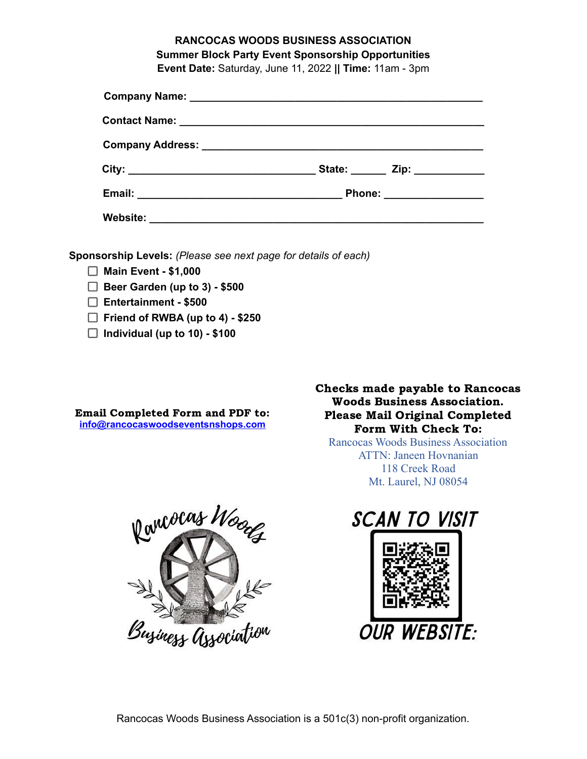# **RANCOCAS WOODS BUSINESS ASSOCIATION Summer Block Party Event Sponsorship Opportunities**

**Event Date:** Saturday, June 11, 2022 **|| Time:** 11am - 3pm

|  | State: _______ Zip: ____________ |
|--|----------------------------------|
|  | Phone: __________________        |
|  |                                  |

**Sponsorship Levels:** *(Please see next page for details of each)*

- **Main Event - \$1,000**
- **Beer Garden (up to 3) - \$500**
- **Entertainment - \$500**
- **Friend of RWBA (up to 4) - \$250**
- **Individual (up to 10) - \$100**

Email Completed Form and PDF to: **inf[o@rancocaswoodseventsnshops.com](mailto:events@rancocaswoodseventsnshops.com)**

Checks made payable to Rancocas Woods Business Association. Please Mail Original Completed Form With Check To:

Rancocas Woods Business Association ATTN: Janeen Hovnanian 118 Creek Road Mt. Laurel, NJ 08054